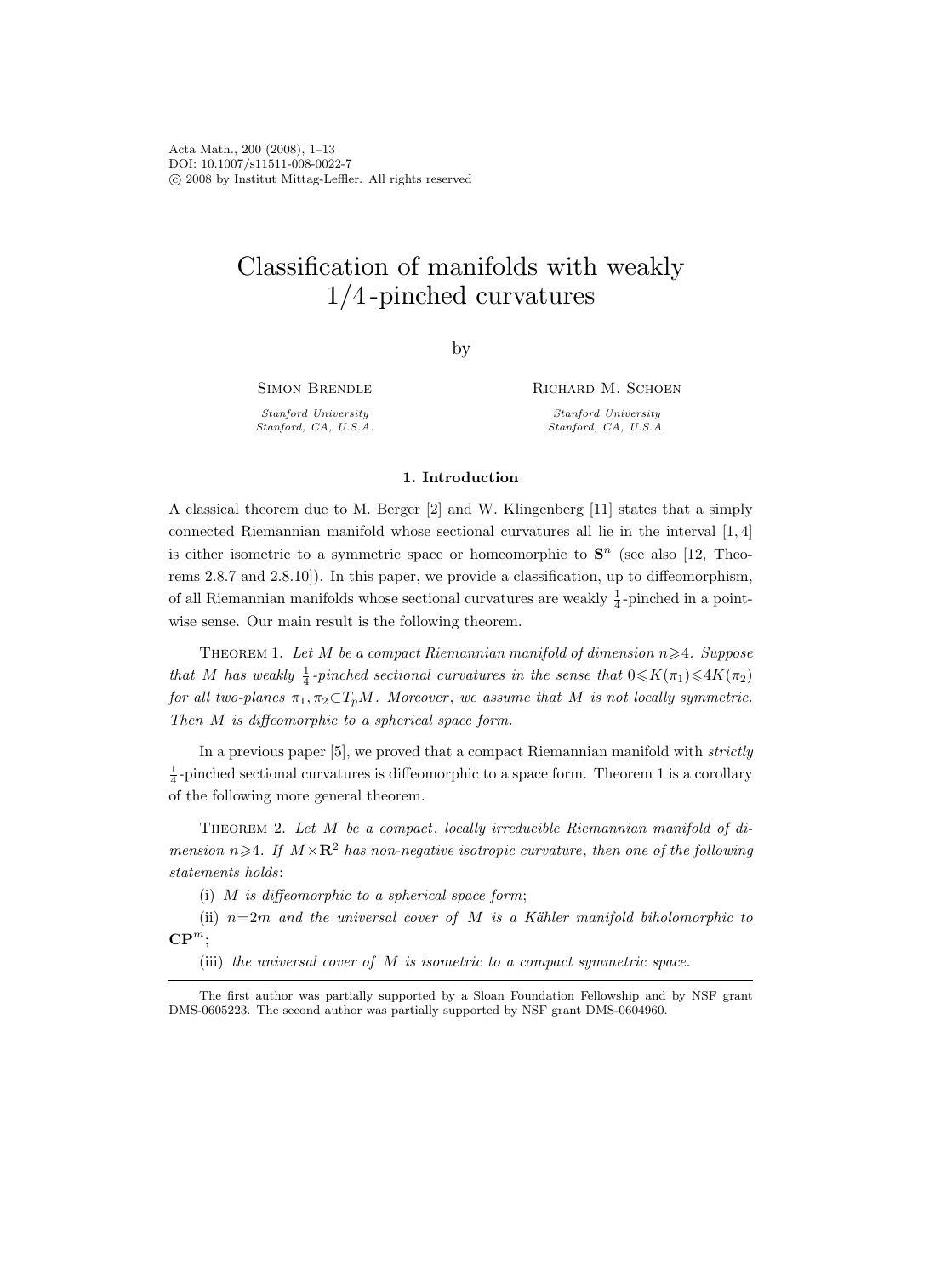Acta Math., 200 (2008), 1–13 DOI: 10.1007/s11511-008-0022-7 c 2008 by Institut Mittag-Leffler. All rights reserved

# Classification of manifolds with weakly 1/4 -pinched curvatures

by

Simon Brendle

Stanford University Stanford, CA, U.S.A. Richard M. Schoen Stanford University Stanford, CA, U.S.A.

## 1. Introduction

A classical theorem due to M. Berger [2] and W. Klingenberg [11] states that a simply connected Riemannian manifold whose sectional curvatures all lie in the interval [1, 4] is either isometric to a symmetric space or homeomorphic to  $S<sup>n</sup>$  (see also [12, Theorems 2.8.7 and 2.8.10]). In this paper, we provide a classification, up to diffeomorphism, of all Riemannian manifolds whose sectional curvatures are weakly  $\frac{1}{4}$ -pinched in a pointwise sense. Our main result is the following theorem.

THEOREM 1. Let M be a compact Riemannian manifold of dimension  $n \geq 4$ . Suppose that M has weakly  $\frac{1}{4}$ -pinched sectional curvatures in the sense that  $0 \le K(\pi_1) \le 4K(\pi_2)$ for all two-planes  $\pi_1, \pi_2 \subset T_pM$ . Moreover, we assume that M is not locally symmetric. Then M is diffeomorphic to a spherical space form.

In a previous paper [5], we proved that a compact Riemannian manifold with strictly  $\frac{1}{4}$ -pinched sectional curvatures is diffeomorphic to a space form. Theorem 1 is a corollary of the following more general theorem.

THEOREM 2. Let  $M$  be a compact, locally irreducible Riemannian manifold of dimension  $n\geqslant 4$ . If  $M\times\mathbf{R}^2$  has non-negative isotropic curvature, then one of the following statements holds:

(i)  $M$  is diffeomorphic to a spherical space form;

(ii)  $n=2m$  and the universal cover of M is a Kähler manifold biholomorphic to  $\mathbf{CP}^m$ :

(iii) the universal cover of M is isometric to a compact symmetric space.

The first author was partially supported by a Sloan Foundation Fellowship and by NSF grant DMS-0605223. The second author was partially supported by NSF grant DMS-0604960.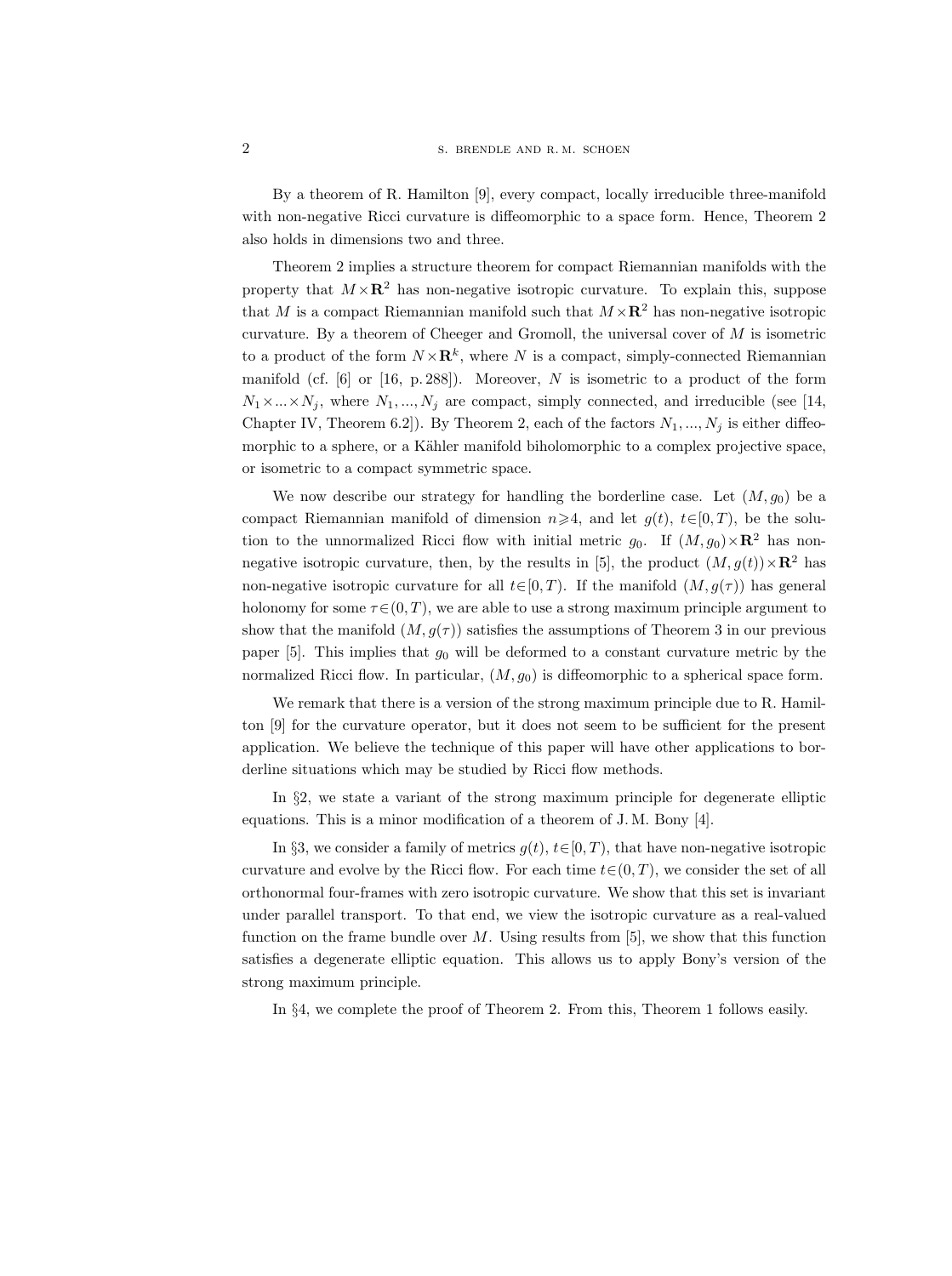By a theorem of R. Hamilton [9], every compact, locally irreducible three-manifold with non-negative Ricci curvature is diffeomorphic to a space form. Hence, Theorem 2 also holds in dimensions two and three.

Theorem 2 implies a structure theorem for compact Riemannian manifolds with the property that  $M \times \mathbb{R}^2$  has non-negative isotropic curvature. To explain this, suppose that M is a compact Riemannian manifold such that  $M \times \mathbb{R}^2$  has non-negative isotropic curvature. By a theorem of Cheeger and Gromoll, the universal cover of  $M$  is isometric to a product of the form  $N \times \mathbf{R}^k$ , where N is a compact, simply-connected Riemannian manifold (cf.  $[6]$  or  $[16, p. 288]$ ). Moreover, N is isometric to a product of the form  $N_1 \times ... \times N_j$ , where  $N_1, ..., N_j$  are compact, simply connected, and irreducible (see [14, Chapter IV, Theorem 6.2. By Theorem 2, each of the factors  $N_1, ..., N_j$  is either diffeomorphic to a sphere, or a Kähler manifold biholomorphic to a complex projective space, or isometric to a compact symmetric space.

We now describe our strategy for handling the borderline case. Let  $(M, g_0)$  be a compact Riemannian manifold of dimension  $n\geqslant 4$ , and let  $g(t), t\in [0, T)$ , be the solution to the unnormalized Ricci flow with initial metric  $g_0$ . If  $(M, g_0) \times \mathbb{R}^2$  has nonnegative isotropic curvature, then, by the results in [5], the product  $(M, g(t)) \times \mathbb{R}^2$  has non-negative isotropic curvature for all  $t \in [0, T)$ . If the manifold  $(M, g(\tau))$  has general holonomy for some  $\tau \in (0, T)$ , we are able to use a strong maximum principle argument to show that the manifold  $(M, g(\tau))$  satisfies the assumptions of Theorem 3 in our previous paper  $[5]$ . This implies that  $g_0$  will be deformed to a constant curvature metric by the normalized Ricci flow. In particular,  $(M, g_0)$  is diffeomorphic to a spherical space form.

We remark that there is a version of the strong maximum principle due to R. Hamilton [9] for the curvature operator, but it does not seem to be sufficient for the present application. We believe the technique of this paper will have other applications to borderline situations which may be studied by Ricci flow methods.

In §2, we state a variant of the strong maximum principle for degenerate elliptic equations. This is a minor modification of a theorem of J. M. Bony [4].

In §3, we consider a family of metrics  $g(t)$ ,  $t \in [0, T)$ , that have non-negative isotropic curvature and evolve by the Ricci flow. For each time  $t \in (0, T)$ , we consider the set of all orthonormal four-frames with zero isotropic curvature. We show that this set is invariant under parallel transport. To that end, we view the isotropic curvature as a real-valued function on the frame bundle over  $M$ . Using results from [5], we show that this function satisfies a degenerate elliptic equation. This allows us to apply Bony's version of the strong maximum principle.

In §4, we complete the proof of Theorem 2. From this, Theorem 1 follows easily.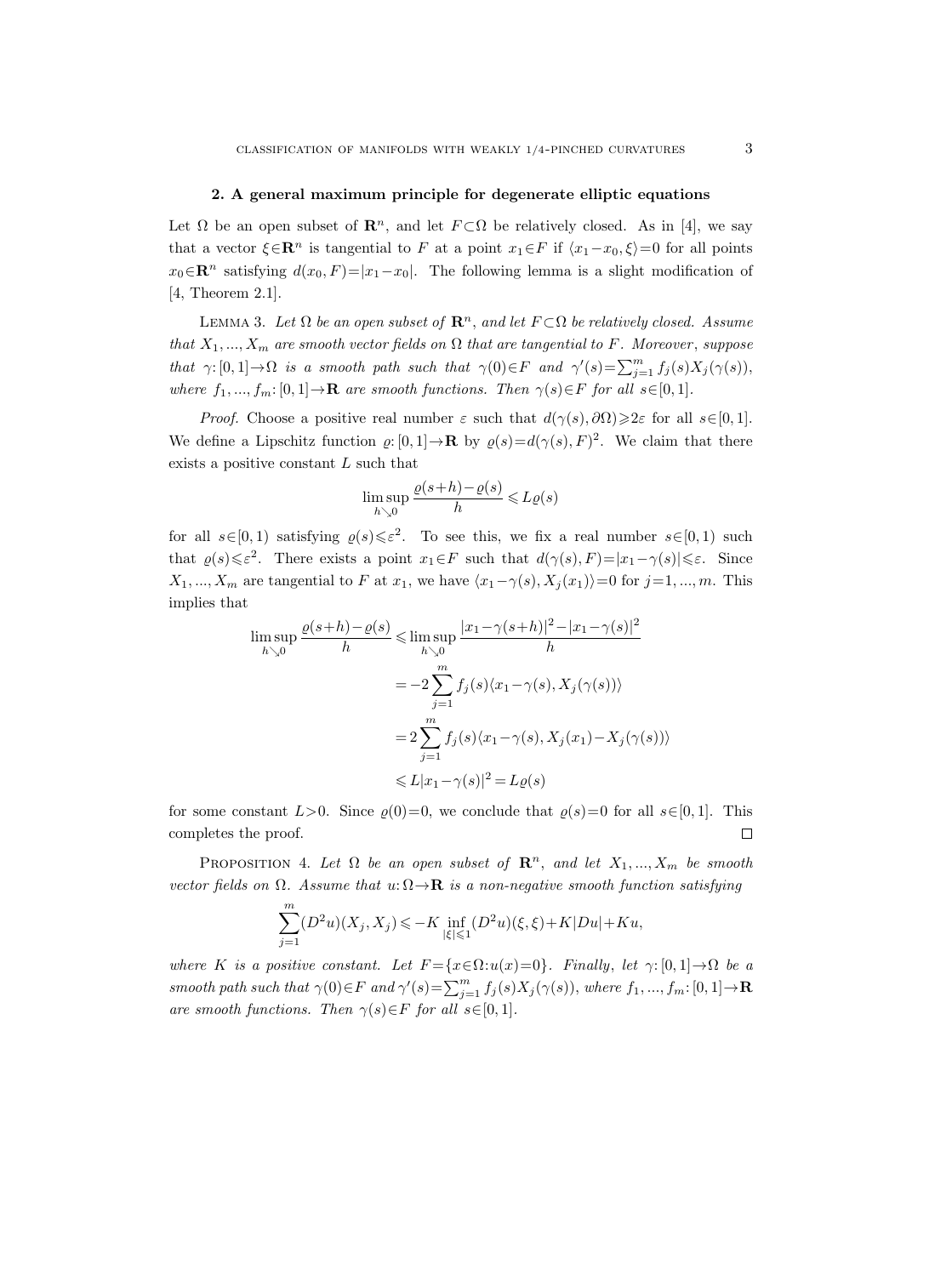### 2. A general maximum principle for degenerate elliptic equations

Let  $\Omega$  be an open subset of  $\mathbb{R}^n$ , and let  $F \subset \Omega$  be relatively closed. As in [4], we say that a vector  $\xi \in \mathbb{R}^n$  is tangential to F at a point  $x_1 \in F$  if  $\langle x_1-x_0, \xi \rangle = 0$  for all points  $x_0 \in \mathbb{R}^n$  satisfying  $d(x_0, F) = |x_1-x_0|$ . The following lemma is a slight modification of [4, Theorem 2.1].

LEMMA 3. Let  $\Omega$  be an open subset of  $\mathbb{R}^n$ , and let  $F \subset \Omega$  be relatively closed. Assume that  $X_1, ..., X_m$  are smooth vector fields on  $\Omega$  that are tangential to F. Moreover, suppose that  $\gamma: [0, 1] \to \Omega$  is a smooth path such that  $\gamma(0) \in F$  and  $\gamma'(s) = \sum_{j=1}^m f_j(s) X_j(\gamma(s)),$ where  $f_1, ..., f_m: [0, 1] \to \mathbf{R}$  are smooth functions. Then  $\gamma(s) \in F$  for all  $s \in [0, 1]$ .

*Proof.* Choose a positive real number  $\varepsilon$  such that  $d(\gamma(s), \partial \Omega) \geq 2\varepsilon$  for all  $s \in [0, 1]$ . We define a Lipschitz function  $\varrho: [0,1] \to \mathbf{R}$  by  $\varrho(s) = d(\gamma(s), F)^2$ . We claim that there exists a positive constant L such that

$$
\limsup_{h \searrow 0} \frac{\varrho(s+h) - \varrho(s)}{h} \le L\varrho(s)
$$

for all  $s \in [0, 1)$  satisfying  $\varrho(s) \leq \varepsilon^2$ . To see this, we fix a real number  $s \in [0, 1)$  such that  $\varrho(s) \leq \varepsilon^2$ . There exists a point  $x_1 \in F$  such that  $d(\gamma(s), F) = |x_1 - \gamma(s)| \leq \varepsilon$ . Since  $X_1, ..., X_m$  are tangential to F at  $x_1$ , we have  $\langle x_1-\gamma(s), X_j(x_1)\rangle=0$  for  $j=1, ..., m$ . This implies that

$$
\limsup_{h \searrow 0} \frac{\varrho(s+h) - \varrho(s)}{h} \le \limsup_{h \searrow 0} \frac{|x_1 - \gamma(s+h)|^2 - |x_1 - \gamma(s)|^2}{h}
$$

$$
= -2 \sum_{j=1}^m f_j(s) \langle x_1 - \gamma(s), X_j(\gamma(s)) \rangle
$$

$$
= 2 \sum_{j=1}^m f_j(s) \langle x_1 - \gamma(s), X_j(x_1) - X_j(\gamma(s)) \rangle
$$

$$
\le L|x_1 - \gamma(s)|^2 = L\varrho(s)
$$

for some constant  $L>0$ . Since  $\varrho(0)=0$ , we conclude that  $\varrho(s)=0$  for all  $s\in[0,1]$ . This completes the proof.  $\Box$ 

PROPOSITION 4. Let  $\Omega$  be an open subset of  $\mathbb{R}^n$ , and let  $X_1, ..., X_m$  be smooth vector fields on  $\Omega$ . Assume that  $u: \Omega \to \mathbf{R}$  is a non-negative smooth function satisfying

$$
\sum_{j=1}^m (D^2u)(X_j,X_j)\leqslant -K\inf_{|\xi|\leqslant 1}(D^2u)(\xi,\xi)+K|Du|+Ku,
$$

where K is a positive constant. Let  $F = \{x \in \Omega : u(x) = 0\}$ . Finally, let  $\gamma : [0,1] \to \Omega$  be a smooth path such that  $\gamma(0) \in F$  and  $\gamma'(s) = \sum_{j=1}^{m} f_j(s) X_j(\gamma(s))$ , where  $f_1, ..., f_m: [0, 1] \to \mathbf{R}$ are smooth functions. Then  $\gamma(s) \in F$  for all  $s \in [0, 1]$ .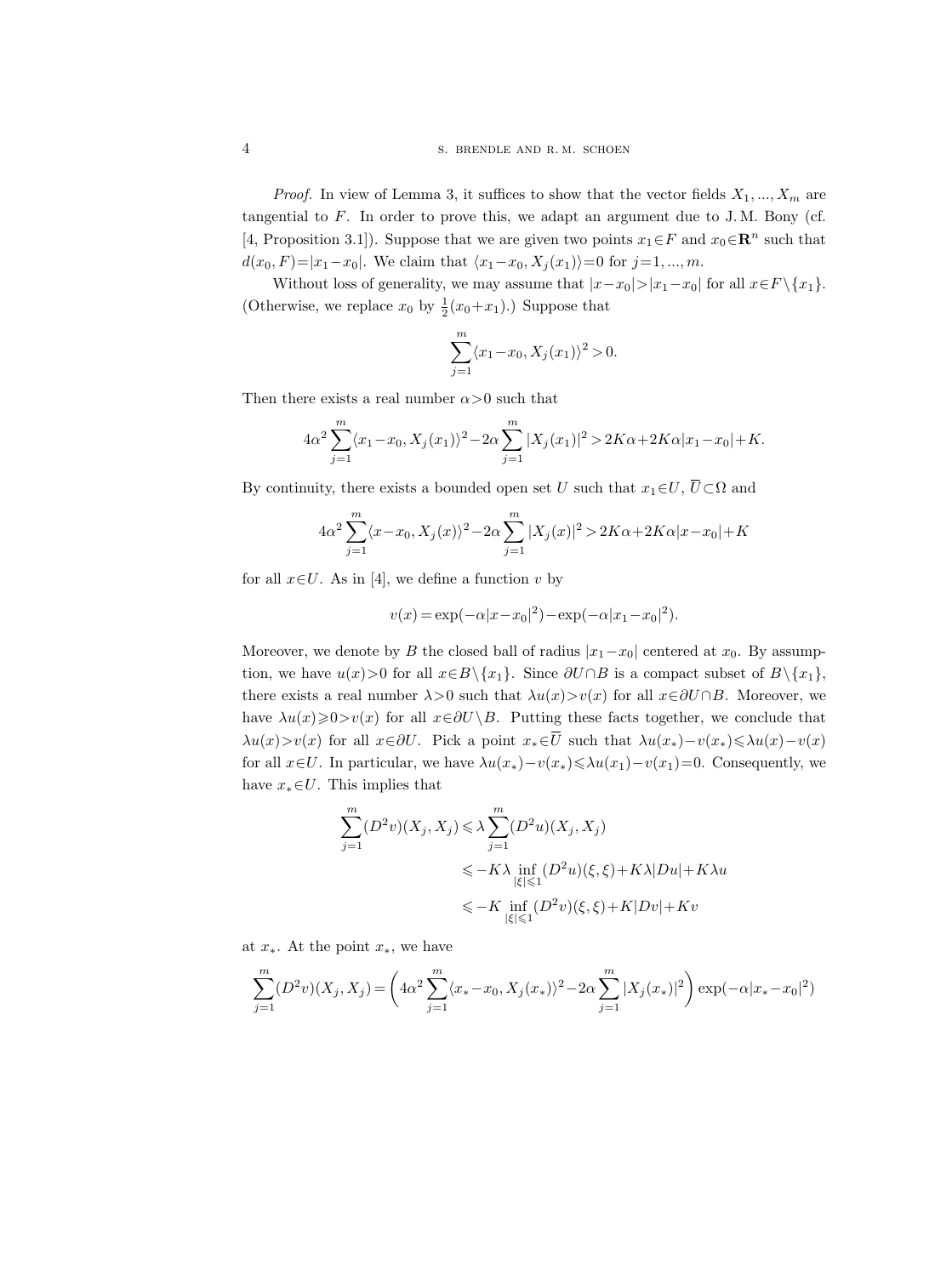*Proof.* In view of Lemma 3, it suffices to show that the vector fields  $X_1, ..., X_m$  are tangential to  $F$ . In order to prove this, we adapt an argument due to J.M. Bony (cf. [4, Proposition 3.1]). Suppose that we are given two points  $x_1 \in F$  and  $x_0 \in \mathbb{R}^n$  such that  $d(x_0, F) = |x_1-x_0|$ . We claim that  $\langle x_1-x_0, X_j(x_1) \rangle = 0$  for  $j=1, ..., m$ .

Without loss of generality, we may assume that  $|x-x_0|>|x_1-x_0|$  for all  $x\in F \setminus \{x_1\}$ . (Otherwise, we replace  $x_0$  by  $\frac{1}{2}(x_0+x_1)$ .) Suppose that

$$
\sum_{j=1}^{m} \langle x_1 - x_0, X_j(x_1) \rangle^2 > 0.
$$

Then there exists a real number  $\alpha > 0$  such that

[4, Toposition 3.1]. Suppose that we are given two points 
$$
x_1 \in Y
$$
 and  $x_0 \in \mathbb{R}$  s  
\n $d(x_0, F) = |x_1 - x_0|$ . We claim that  $\langle x_1 - x_0, X_j(x_1) \rangle = 0$  for  $j = 1, ..., m$ .  
\nWithout loss of generality, we may assume that  $|x - x_0| > |x_1 - x_0|$  for all  $x \in$   
\n(Otherwise, we replace  $x_0$  by  $\frac{1}{2}(x_0 + x_1)$ .) Suppose that  
\n
$$
\sum_{j=1}^m \langle x_1 - x_0, X_j(x_1) \rangle^2 > 0.
$$
\nThen there exists a real number  $\alpha > 0$  such that  
\n $4\alpha^2 \sum_{j=1}^m \langle x_1 - x_0, X_j(x_1) \rangle^2 - 2\alpha \sum_{j=1}^m |X_j(x_1)|^2 > 2K\alpha + 2K\alpha |x_1 - x_0| + K$ .  
\nBy continuity, there exists a bounded open set U such that  $x_1 \in U$ ,  $\overline{U} \subset \Omega$  and

By continuity, there exists a bounded open set U such that  $x_1 \in U$ ,  $\overline{U} \subset \Omega$  and

$$
4\alpha^2 \sum_{j=1}^m \langle x - x_0, X_j(x) \rangle^2 - 2\alpha \sum_{j=1}^m |X_j(x)|^2 > 2K\alpha + 2K\alpha |x - x_0| + K
$$

for all  $x \in U$ . As in [4], we define a function v by

$$
v(x) = \exp(-\alpha |x - x_0|^2) - \exp(-\alpha |x_1 - x_0|^2).
$$

Moreover, we denote by B the closed ball of radius  $|x_1-x_0|$  centered at  $x_0$ . By assumption, we have  $u(x) > 0$  for all  $x \in B \setminus \{x_1\}$ . Since  $\partial U \cap B$  is a compact subset of  $B \setminus \{x_1\}$ , there exists a real number  $\lambda > 0$  such that  $\lambda u(x) > v(x)$  for all  $x \in \partial U \cap B$ . Moreover, we have  $\lambda u(x)\geqslant0>v(x)$  for all  $x\in\partial U\setminus B$ . Putting these facts together, we conclude that  $4\alpha^2 \sum_{j=1}^m \langle x-x_0, X_j(x)\rangle^2 - 2\alpha \sum_{j=1}^m |X_j(x)|$ <br>for all  $x \in U$ . As in [4], we define a function v by<br> $v(x) = \exp(-\alpha |x-x_0|^2) - \epsilon$ <br>Moreover, we denote by B the closed ball of rad<br>tion, we have  $u(x) > 0$  for all  $x \in B \setminus \{x_1\}$  $\lambda u(x) > v(x)$  for all  $x \in \partial U$ . Pick a point  $x \in \overline{U}$  such that  $\lambda u(x_{*}) - v(x_{*}) \leq \lambda u(x) - v(x)$ for all  $x\in U$ . In particular, we have  $\lambda u(x_*)-v(x_*)\leqslant\lambda u(x_1)-v(x_1)=0$ . Consequently, we have  $x_* \in U$ . This implies that

$$
\sum_{j=1}^{m} (D^2 v)(X_j, X_j) \le \lambda \sum_{j=1}^{m} (D^2 u)(X_j, X_j)
$$
  

$$
\le -K\lambda \inf_{|\xi| \le 1} (D^2 u)(\xi, \xi) + K\lambda |Du| + K\lambda u
$$
  

$$
\le -K \inf_{|\xi| \le 1} (D^2 v)(\xi, \xi) + K|Dv| + Kv
$$

at  $x_*$ . At the point  $x_*$ , we have

$$
\sum_{j=1}^{m} (D^2 v)(X_j, X_j) = \left(4\alpha^2 \sum_{j=1}^{m} \langle x_* - x_0, X_j(x_*) \rangle^2 - 2\alpha \sum_{j=1}^{m} |X_j(x_*)|^2\right) \exp(-\alpha |x_* - x_0|^2)
$$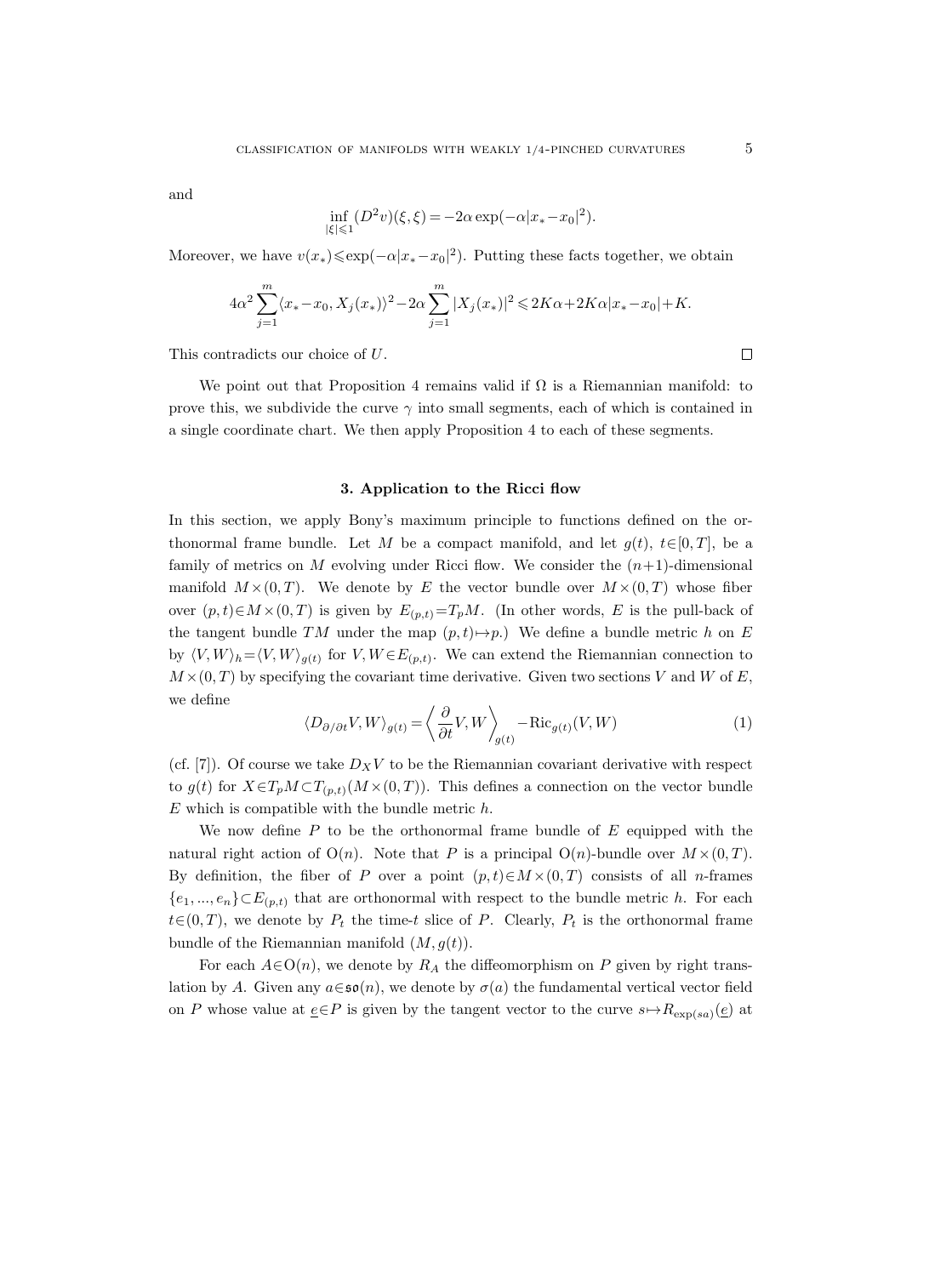and

$$
\inf_{|\xi| \le 1} (D^2 v)(\xi, \xi) = -2\alpha \exp(-\alpha |x_* - x_0|^2).
$$

Moreover, we have  $v(x_*) \leqslant \exp(-\alpha |x_* - x_0|^2)$ . Putting these facts together, we obtain

$$
4\alpha^2 \sum_{j=1}^m \langle x_* - x_0, X_j(x_*) \rangle^2 - 2\alpha \sum_{j=1}^m |X_j(x_*)|^2 \leq 2K\alpha + 2K\alpha |x_* - x_0| + K.
$$

This contradicts our choice of U.

We point out that Proposition 4 remains valid if  $\Omega$  is a Riemannian manifold: to prove this, we subdivide the curve  $\gamma$  into small segments, each of which is contained in a single coordinate chart. We then apply Proposition 4 to each of these segments.

## 3. Application to the Ricci flow

In this section, we apply Bony's maximum principle to functions defined on the orthonormal frame bundle. Let M be a compact manifold, and let  $g(t), t \in [0, T]$ , be a family of metrics on M evolving under Ricci flow. We consider the  $(n+1)$ -dimensional manifold  $M \times (0,T)$ . We denote by E the vector bundle over  $M \times (0,T)$  whose fiber over  $(p, t) \in M \times (0, T)$  is given by  $E_{(p,t)} = T_pM$ . (In other words, E is the pull-back of the tangent bundle TM under the map  $(p, t) \rightarrow p$ .) We define a bundle metric h on E by  $\langle V, W \rangle_h = \langle V, W \rangle_{g(t)}$  for  $V, W \in E_{(p,t)}$ . We can extend the Riemannian connection to  $M \times (0,T)$  by specifying the covariant time derivative. Given two sections V and W of E, we define

$$
\langle D_{\partial/\partial t} V, W \rangle_{g(t)} = \left\langle \frac{\partial}{\partial t} V, W \right\rangle_{g(t)} - \text{Ric}_{g(t)}(V, W)
$$
 (1)

(cf. [7]). Of course we take  $D_XV$  to be the Riemannian covariant derivative with respect to  $g(t)$  for  $X \in T_p M \subset T_{(p,t)}(M \times (0,T))$ . This defines a connection on the vector bundle  $E$  which is compatible with the bundle metric  $h$ .

We now define  $P$  to be the orthonormal frame bundle of  $E$  equipped with the natural right action of  $O(n)$ . Note that P is a principal  $O(n)$ -bundle over  $M \times (0,T)$ . By definition, the fiber of P over a point  $(p, t) \in M \times (0, T)$  consists of all n-frames  $\{e_1, ..., e_n\} \subset E_{(p,t)}$  that are orthonormal with respect to the bundle metric h. For each  $t\in(0,T)$ , we denote by  $P_t$  the time-t slice of P. Clearly,  $P_t$  is the orthonormal frame bundle of the Riemannian manifold  $(M, g(t))$ .

For each  $A \in O(n)$ , we denote by  $R_A$  the diffeomorphism on P given by right translation by A. Given any  $a \in \mathfrak{so}(n)$ , we denote by  $\sigma(a)$  the fundamental vertical vector field on P whose value at  $\underline{e} \in P$  is given by the tangent vector to the curve  $s \mapsto R_{\exp(s_a)}(\underline{e})$  at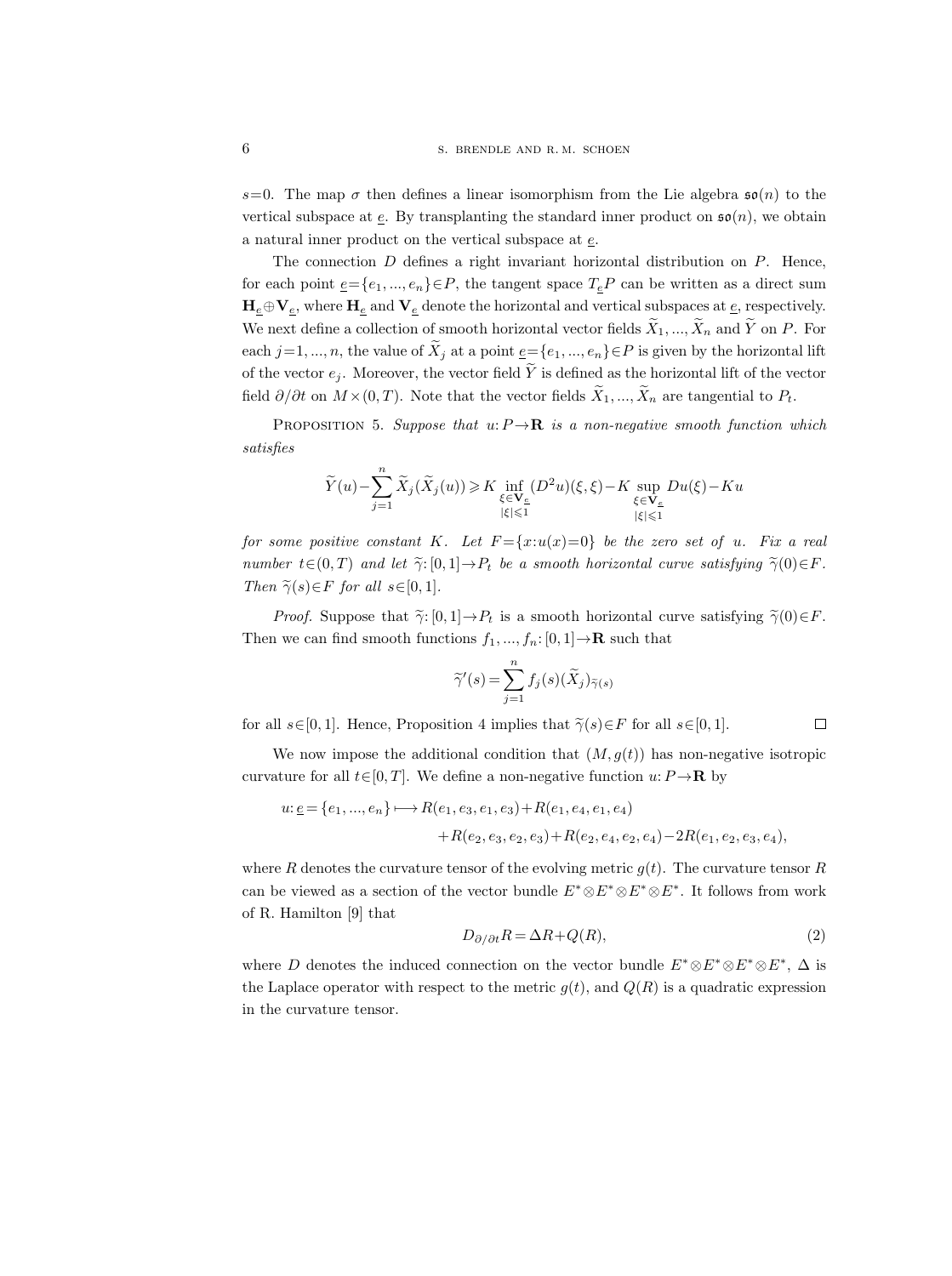s=0. The map  $\sigma$  then defines a linear isomorphism from the Lie algebra  $\mathfrak{so}(n)$  to the vertical subspace at  $\underline{e}$ . By transplanting the standard inner product on  $\mathfrak{so}(n)$ , we obtain a natural inner product on the vertical subspace at e.

The connection  $D$  defines a right invariant horizontal distribution on  $P$ . Hence, for each point  $\underline{e} = \{e_1, ..., e_n\} \in P$ , the tangent space  $T_e P$  can be written as a direct sum  $H_e \oplus V_e$ , where  $H_e$  and  $V_e$  denote the horizontal and vertical subspaces at  $\underline{e}$ , respectively. We next define a collection of smooth horizontal vector fields  $\tilde{X}_1, ..., \tilde{X}_n$  and  $\tilde{Y}$  on P. For each  $j=1, ..., n$ , the value of  $\tilde{X}_j$  at a point  $\underline{e}=\{e_1, ..., e_n\} \in P$  is given by the horizontal lift of the vector  $e_j$ . Moreover, the vector field  $\widetilde{Y}$  is defined as the horizontal lift of the vector field  $\partial/\partial t$  on  $M \times (0,T)$ . Note that the vector fields  $\widetilde{X}_1, ..., \widetilde{X}_n$  are tangential to  $P_t$ .

PROPOSITION 5. Suppose that  $u: P \to \mathbf{R}$  is a non-negative smooth function which satisfies

$$
\widetilde{Y}(u)-\sum_{j=1}^n\widetilde{X}_j(\widetilde{X}_j(u))\geqslant K\inf_{\substack{\xi\in \mathbf{V}_{\underline{e}}\\|\xi|\leqslant 1}}(D^2u)(\xi,\xi)-K\sup_{\substack{\xi\in \mathbf{V}_{\underline{e}}\\|\xi|\leqslant 1}}Du(\xi)-Ku
$$

for some positive constant K. Let  $F = \{x: u(x) = 0\}$  be the zero set of u. Fix a real number  $t \in (0, T)$  and let  $\tilde{\gamma}: [0, 1] \to P_t$  be a smooth horizontal curve satisfying  $\tilde{\gamma}(0) \in F$ . Then  $\widetilde{\gamma}(s) \in F$  for all  $s \in [0, 1]$ .

*Proof.* Suppose that  $\tilde{\gamma}$ : [0, 1]  $\rightarrow P_t$  is a smooth horizontal curve satisfying  $\tilde{\gamma}(0) \in F$ . Then we can find smooth functions  $f_1, ..., f_n: [0, 1] \to \mathbf{R}$  such that

$$
\widetilde{\gamma}'(s) = \sum_{j=1}^{n} f_j(s)(\widetilde{X}_j)_{\widetilde{\gamma}(s)}
$$

for all  $s\in[0,1]$ . Hence, Proposition 4 implies that  $\widetilde{\gamma}(s)\in F$  for all  $s\in[0,1]$ .  $\Box$ 

We now impose the additional condition that  $(M, g(t))$  has non-negative isotropic curvature for all  $t \in [0, T]$ . We define a non-negative function  $u: P \to \mathbf{R}$  by

$$
u: \underline{e} = \{e_1, ..., e_n\} \longmapsto R(e_1, e_3, e_1, e_3) + R(e_1, e_4, e_1, e_4)
$$

$$
+ R(e_2, e_3, e_2, e_3) + R(e_2, e_4, e_2, e_4) - 2R(e_1, e_2, e_3, e_4),
$$

where R denotes the curvature tensor of the evolving metric  $q(t)$ . The curvature tensor R can be viewed as a section of the vector bundle  $E^* \otimes E^* \otimes E^* \otimes E^*$ . It follows from work of R. Hamilton [9] that

$$
D_{\partial/\partial t}R = \Delta R + Q(R),\tag{2}
$$

where D denotes the induced connection on the vector bundle  $E^* \otimes E^* \otimes E^* \otimes E^*$ ,  $\Delta$  is the Laplace operator with respect to the metric  $g(t)$ , and  $Q(R)$  is a quadratic expression in the curvature tensor.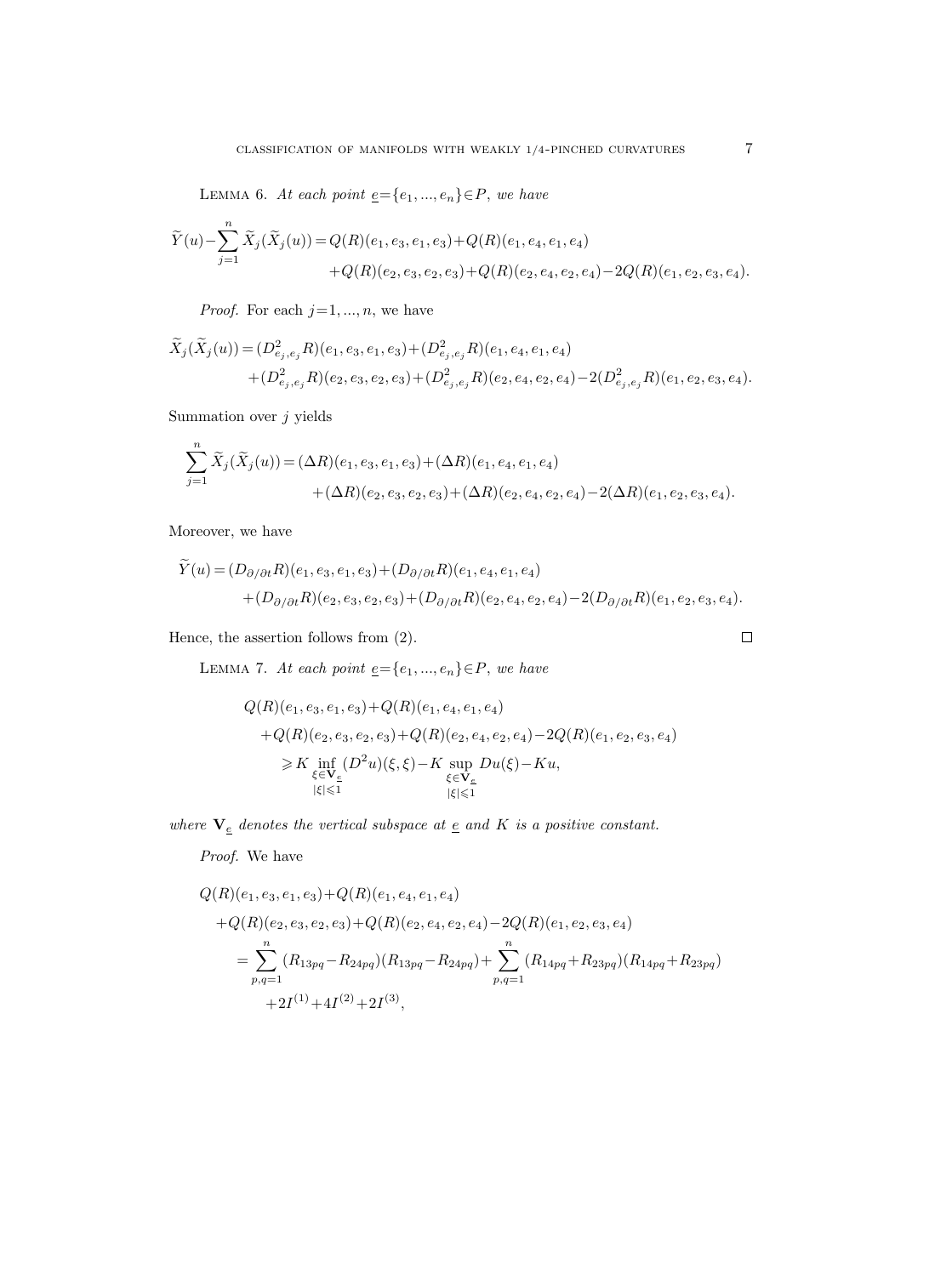LEMMA 6. At each point  $\underline{e} = \{e_1, ..., e_n\} \in P$ , we have

$$
\widetilde{Y}(u) - \sum_{j=1}^{n} \widetilde{X}_{j}(\widetilde{X}_{j}(u)) = Q(R)(e_{1}, e_{3}, e_{1}, e_{3}) + Q(R)(e_{1}, e_{4}, e_{1}, e_{4}) \n+ Q(R)(e_{2}, e_{3}, e_{2}, e_{3}) + Q(R)(e_{2}, e_{4}, e_{2}, e_{4}) - 2Q(R)(e_{1}, e_{2}, e_{3}, e_{4}).
$$

*Proof.* For each  $j=1, ..., n$ , we have

$$
\widetilde{X}_j(\widetilde{X}_j(u)) = (D^2_{e_j, e_j} R)(e_1, e_3, e_1, e_3) + (D^2_{e_j, e_j} R)(e_1, e_4, e_1, e_4) \n+ (D^2_{e_j, e_j} R)(e_2, e_3, e_2, e_3) + (D^2_{e_j, e_j} R)(e_2, e_4, e_2, e_4) - 2(D^2_{e_j, e_j} R)(e_1, e_2, e_3, e_4).
$$

Summation over  $j$  yields

$$
\begin{split} \sum_{j=1}^n \widetilde{X}_j(\widetilde{X}_j(u)) &= (\Delta R)(e_1, e_3, e_1, e_3) + (\Delta R)(e_1, e_4, e_1, e_4) \\ &+ (\Delta R)(e_2, e_3, e_2, e_3) + (\Delta R)(e_2, e_4, e_2, e_4) - 2(\Delta R)(e_1, e_2, e_3, e_4). \end{split}
$$

Moreover, we have

$$
\widetilde{Y}(u) = (D_{\partial/\partial t}R)(e_1, e_3, e_1, e_3) + (D_{\partial/\partial t}R)(e_1, e_4, e_1, e_4) \n+ (D_{\partial/\partial t}R)(e_2, e_3, e_2, e_3) + (D_{\partial/\partial t}R)(e_2, e_4, e_2, e_4) - 2(D_{\partial/\partial t}R)(e_1, e_2, e_3, e_4).
$$

Hence, the assertion follows from (2).

LEMMA 7. At each point  $\underline{e} = \{e_1, ..., e_n\} \in P$ , we have

$$
Q(R)(e_1, e_3, e_1, e_3) + Q(R)(e_1, e_4, e_1, e_4)
$$
  
+
$$
Q(R)(e_2, e_3, e_2, e_3) + Q(R)(e_2, e_4, e_2, e_4) - 2Q(R)(e_1, e_2, e_3, e_4)
$$
  

$$
\geq K \inf_{\xi \in \mathbf{V}_{\underline{\epsilon}}} (D^2 u)(\xi, \xi) - K \sup_{\xi \in \mathbf{V}_{\underline{\epsilon}}} Du(\xi) - Ku,
$$
  

$$
|\xi| \leq 1
$$

where  $\mathbf{V}_{\underline{e}}$  denotes the vertical subspace at  $\underline{e}$  and<br>  $K$  is a positive constant.

Proof. We have

$$
Q(R)(e_1, e_3, e_1, e_3) + Q(R)(e_1, e_4, e_1, e_4)
$$
  
+
$$
Q(R)(e_2, e_3, e_2, e_3) + Q(R)(e_2, e_4, e_2, e_4) - 2Q(R)(e_1, e_2, e_3, e_4)
$$
  
=
$$
\sum_{p,q=1}^{n} (R_{13pq} - R_{24pq})(R_{13pq} - R_{24pq}) + \sum_{p,q=1}^{n} (R_{14pq} + R_{23pq})(R_{14pq} + R_{23pq})
$$
  
+2 $I^{(1)} + 4I^{(2)} + 2I^{(3)}$ ,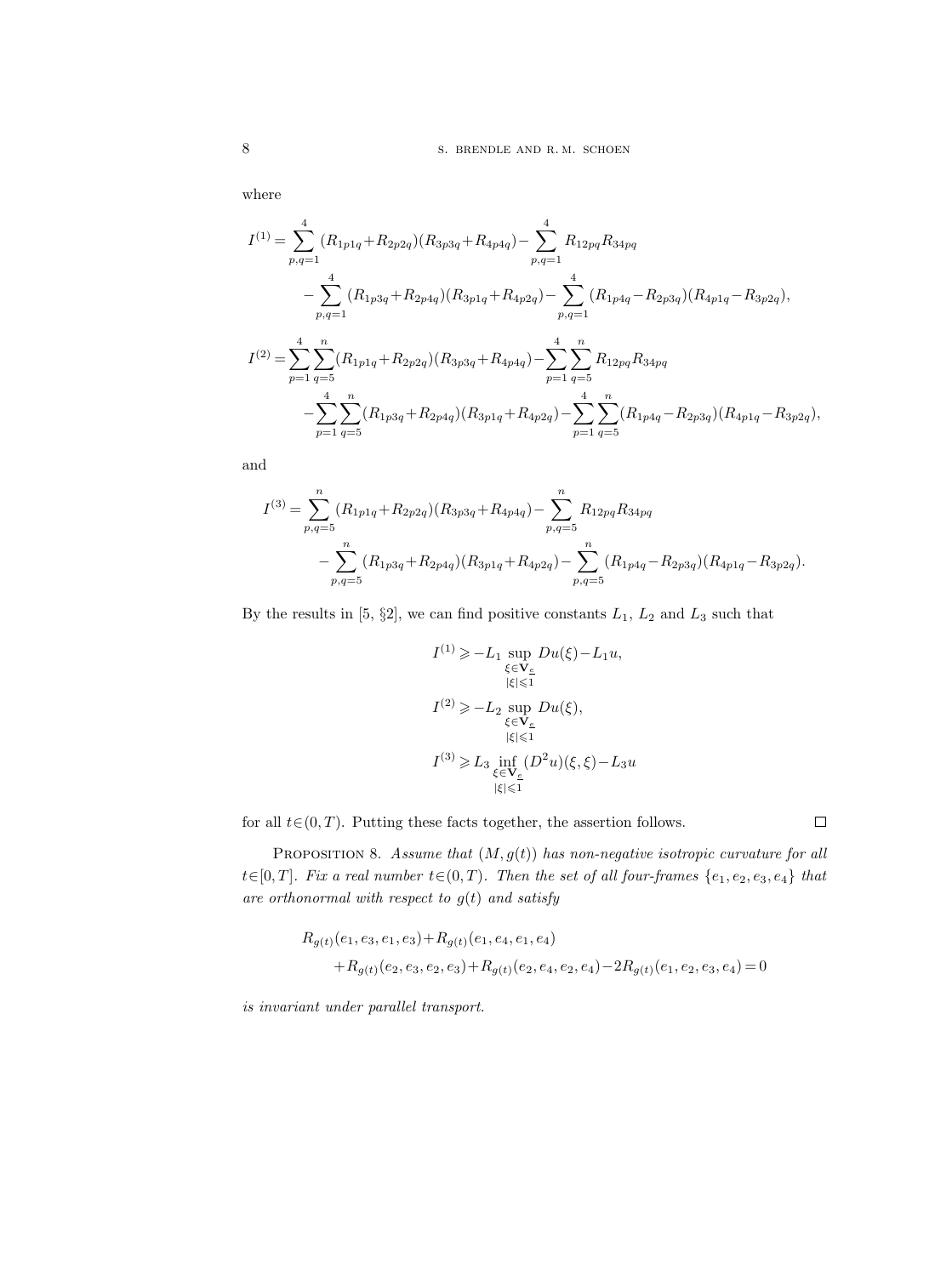where

$$
I^{(1)} = \sum_{p,q=1}^{4} (R_{1p1q} + R_{2p2q})(R_{3p3q} + R_{4p4q}) - \sum_{p,q=1}^{4} R_{12pq}R_{34pq}
$$
  

$$
- \sum_{p,q=1}^{4} (R_{1p3q} + R_{2p4q})(R_{3p1q} + R_{4p2q}) - \sum_{p,q=1}^{4} (R_{1p4q} - R_{2p3q})(R_{4p1q} - R_{3p2q}),
$$
  

$$
I^{(2)} = \sum_{p=1}^{4} \sum_{q=5}^{n} (R_{1p1q} + R_{2p2q})(R_{3p3q} + R_{4p4q}) - \sum_{p=1}^{4} \sum_{q=5}^{n} R_{12pq}R_{34pq}
$$
  

$$
- \sum_{p=1}^{4} \sum_{q=5}^{n} (R_{1p3q} + R_{2p4q})(R_{3p1q} + R_{4p2q}) - \sum_{p=1}^{4} \sum_{q=5}^{n} (R_{1p4q} - R_{2p3q})(R_{4p1q} - R_{3p2q}),
$$

and

$$
I^{(3)} = \sum_{p,q=5}^{n} (R_{1p1q} + R_{2p2q})(R_{3p3q} + R_{4p4q}) - \sum_{p,q=5}^{n} R_{12pq}R_{34pq}
$$
  

$$
- \sum_{p,q=5}^{n} (R_{1p3q} + R_{2p4q})(R_{3p1q} + R_{4p2q}) - \sum_{p,q=5}^{n} (R_{1p4q} - R_{2p3q})(R_{4p1q} - R_{3p2q}).
$$

By the results in [5,  $\S2$ ], we can find positive constants  $L_1$ ,  $L_2$  and  $L_3$  such that

$$
\begin{aligned} I^{(1)} &\geqslant -L_1 \sup_{\xi \in \mathbf{V}_{\underline{e}}} Du(\xi) - L_1 u, \\ &\qquad \qquad |\xi| \leqslant 1 \\ I^{(2)} &\geqslant -L_2 \sup_{\xi \in \mathbf{V}_{\underline{e}}} Du(\xi), \\ &\qquad \qquad |\xi| \leqslant 1 \\ I^{(3)} &\geqslant L_3 \inf_{\xi \in \mathbf{V}_{\underline{e}}} (D^2 u)(\xi, \xi) - L_3 u \\ &\qquad \qquad |\xi| \leqslant 1 \end{aligned}
$$

for all  $t \in (0, T)$ . Putting these facts together, the assertion follows.

 $\Box$ 

PROPOSITION 8. Assume that  $(M, g(t))$  has non-negative isotropic curvature for all  $t\in[0,T]$ . Fix a real number  $t\in(0,T)$ . Then the set of all four-frames  $\{e_1,e_2,e_3,e_4\}$  that are orthonormal with respect to  $g(t)$  and satisfy

$$
R_{g(t)}(e_1, e_3, e_1, e_3) + R_{g(t)}(e_1, e_4, e_1, e_4)
$$
  
+
$$
R_{g(t)}(e_2, e_3, e_2, e_3) + R_{g(t)}(e_2, e_4, e_2, e_4) - 2R_{g(t)}(e_1, e_2, e_3, e_4) = 0
$$

is invariant under parallel transport.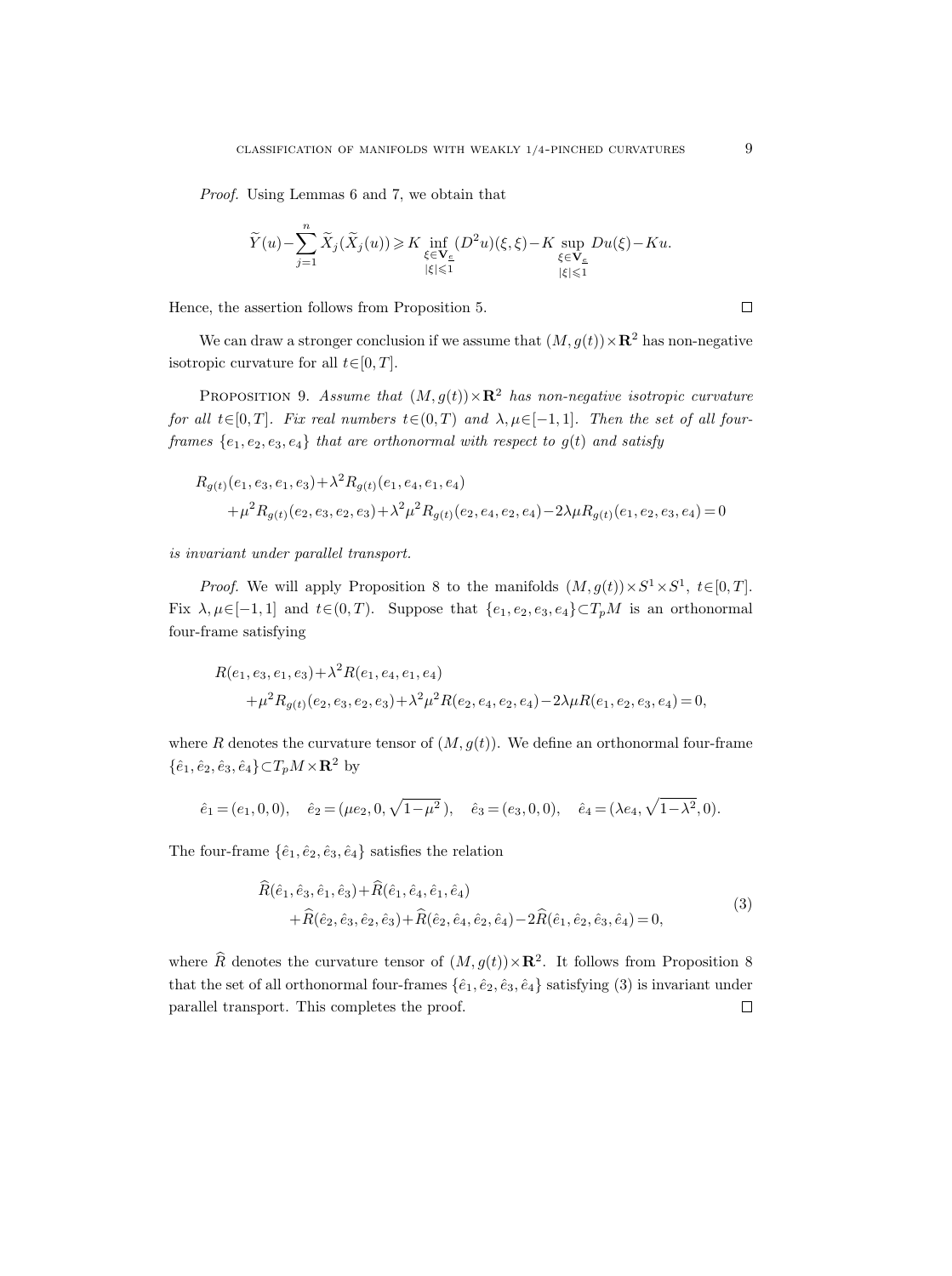Proof. Using Lemmas 6 and 7, we obtain that

$$
\widetilde{Y}(u)-\sum_{j=1}^n\widetilde{X}_j(\widetilde{X}_j(u))\geqslant K\inf_{\substack{\xi\in \mathbf{V}_{\underline{\varepsilon}}\\\|\xi\|\leqslant 1}}(D^2u)(\xi,\xi)-K\sup_{\substack{\xi\in \mathbf{V}_{\underline{\varepsilon}}\\\|\xi\|\leqslant 1}}Du(\xi)-Ku.
$$

Hence, the assertion follows from Proposition 5.

We can draw a stronger conclusion if we assume that  $(M, g(t)) \times \mathbb{R}^2$  has non-negative isotropic curvature for all  $t \in [0, T]$ .

PROPOSITION 9. Assume that  $(M, g(t)) \times \mathbb{R}^2$  has non-negative isotropic curvature for all t∈[0, T]. Fix real numbers  $t \in (0, T)$  and  $\lambda, \mu \in [-1, 1]$ . Then the set of all fourframes  $\{e_1, e_2, e_3, e_4\}$  that are orthonormal with respect to  $g(t)$  and satisfy

$$
R_{g(t)}(e_1, e_3, e_1, e_3) + \lambda^2 R_{g(t)}(e_1, e_4, e_1, e_4)
$$
  
+  $\mu^2 R_{g(t)}(e_2, e_3, e_2, e_3) + \lambda^2 \mu^2 R_{g(t)}(e_2, e_4, e_2, e_4) - 2\lambda \mu R_{g(t)}(e_1, e_2, e_3, e_4) = 0$ 

is invariant under parallel transport.

*Proof.* We will apply Proposition 8 to the manifolds  $(M, g(t)) \times S^1 \times S^1$ ,  $t \in [0, T]$ . Fix  $\lambda, \mu \in [-1, 1]$  and  $t \in (0, T)$ . Suppose that  $\{e_1, e_2, e_3, e_4\} \subset T_pM$  is an orthonormal four-frame satisfying

$$
R(e_1, e_3, e_1, e_3) + \lambda^2 R(e_1, e_4, e_1, e_4)
$$
  
+  $\mu^2 R_{g(t)}(e_2, e_3, e_2, e_3) + \lambda^2 \mu^2 R(e_2, e_4, e_2, e_4) - 2\lambda \mu R(e_1, e_2, e_3, e_4) = 0,$ 

where R denotes the curvature tensor of  $(M, g(t))$ . We define an orthonormal four-frame  $\{\hat{e}_1, \hat{e}_2, \hat{e}_3, \hat{e}_4\} \subset T_p M \times \mathbf{R}^2$  by

$$
\hat{e}_1 = (e_1, 0, 0), \quad \hat{e}_2 = (\mu e_2, 0, \sqrt{1 - \mu^2}), \quad \hat{e}_3 = (e_3, 0, 0), \quad \hat{e}_4 = (\lambda e_4, \sqrt{1 - \lambda^2}, 0).
$$

The four-frame  $\{\hat{e}_1, \hat{e}_2, \hat{e}_3, \hat{e}_4\}$  satisfies the relation

$$
R(\hat{e}_1, \hat{e}_3, \hat{e}_1, \hat{e}_3) + R(\hat{e}_1, \hat{e}_4, \hat{e}_1, \hat{e}_4) + \hat{R}(\hat{e}_2, \hat{e}_3, \hat{e}_2, \hat{e}_3) + \hat{R}(\hat{e}_2, \hat{e}_4, \hat{e}_2, \hat{e}_4) - 2\hat{R}(\hat{e}_1, \hat{e}_2, \hat{e}_3, \hat{e}_4) = 0,
$$
\n(3)

where  $\widehat{R}$  denotes the curvature tensor of  $(M, g(t)) \times \mathbb{R}^2$ . It follows from Proposition 8 that the set of all orthonormal four-frames  $\{\hat{e}_1, \hat{e}_2, \hat{e}_3, \hat{e}_4\}$  satisfying (3) is invariant under parallel transport. This completes the proof. $\Box$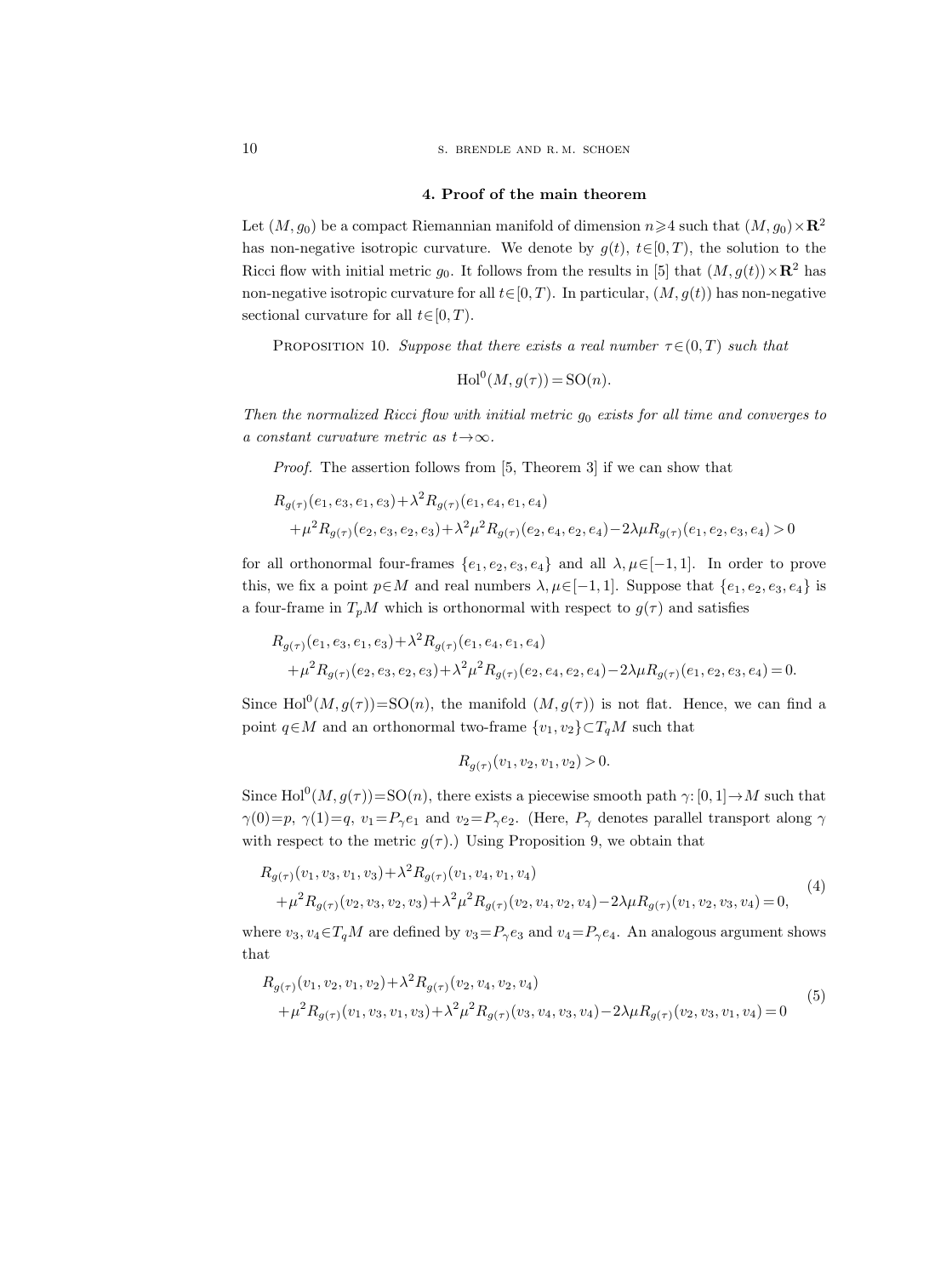10 S. BRENDLE AND R.M. SCHOEN

#### 4. Proof of the main theorem

Let  $(M, g_0)$  be a compact Riemannian manifold of dimension  $n \geq 4$  such that  $(M, g_0) \times \mathbb{R}^2$ has non-negative isotropic curvature. We denote by  $g(t)$ ,  $t \in [0, T)$ , the solution to the Ricci flow with initial metric  $g_0$ . It follows from the results in [5] that  $(M, g(t)) \times \mathbb{R}^2$  has non-negative isotropic curvature for all  $t \in [0, T)$ . In particular,  $(M, g(t))$  has non-negative sectional curvature for all  $t \in [0, T)$ .

PROPOSITION 10. Suppose that there exists a real number  $\tau \in (0, T)$  such that

$$
\operatorname{Hol}^0(M, g(\tau)) = \operatorname{SO}(n).
$$

Then the normalized Ricci flow with initial metric  $g_0$  exists for all time and converges to a constant curvature metric as  $t \rightarrow \infty$ .

Proof. The assertion follows from [5, Theorem 3] if we can show that

$$
R_{g(\tau)}(e_1, e_3, e_1, e_3) + \lambda^2 R_{g(\tau)}(e_1, e_4, e_1, e_4)
$$
  
+ 
$$
\mu^2 R_{g(\tau)}(e_2, e_3, e_2, e_3) + \lambda^2 \mu^2 R_{g(\tau)}(e_2, e_4, e_2, e_4) - 2\lambda \mu R_{g(\tau)}(e_1, e_2, e_3, e_4) > 0
$$

for all orthonormal four-frames  $\{e_1, e_2, e_3, e_4\}$  and all  $\lambda, \mu \in [-1, 1]$ . In order to prove this, we fix a point  $p \in M$  and real numbers  $\lambda, \mu \in [-1, 1]$ . Suppose that  $\{e_1, e_2, e_3, e_4\}$  is a four-frame in  $T_pM$  which is orthonormal with respect to  $g(\tau)$  and satisfies

$$
R_{g(\tau)}(e_1, e_3, e_1, e_3) + \lambda^2 R_{g(\tau)}(e_1, e_4, e_1, e_4)
$$
  
+ 
$$
\mu^2 R_{g(\tau)}(e_2, e_3, e_2, e_3) + \lambda^2 \mu^2 R_{g(\tau)}(e_2, e_4, e_2, e_4) - 2\lambda \mu R_{g(\tau)}(e_1, e_2, e_3, e_4) = 0.
$$

Since  $\text{Hol}^0(M, g(\tau)) = \text{SO}(n)$ , the manifold  $(M, g(\tau))$  is not flat. Hence, we can find a point  $q \in M$  and an orthonormal two-frame  $\{v_1, v_2\} \subset T_qM$  such that

$$
R_{g(\tau)}(v_1, v_2, v_1, v_2) > 0.
$$

Since  $\text{Hol}^0(M, g(\tau)) = \text{SO}(n)$ , there exists a piecewise smooth path  $\gamma: [0, 1] \to M$  such that  $\gamma(0)=p$ ,  $\gamma(1)=q$ ,  $v_1=P_\gamma e_1$  and  $v_2=P_\gamma e_2$ . (Here,  $P_\gamma$  denotes parallel transport along  $\gamma$ with respect to the metric  $g(\tau)$ .) Using Proposition 9, we obtain that

$$
R_{g(\tau)}(v_1, v_3, v_1, v_3) + \lambda^2 R_{g(\tau)}(v_1, v_4, v_1, v_4)
$$
  
+  $\mu^2 R_{g(\tau)}(v_2, v_3, v_2, v_3) + \lambda^2 \mu^2 R_{g(\tau)}(v_2, v_4, v_2, v_4) - 2\lambda \mu R_{g(\tau)}(v_1, v_2, v_3, v_4) = 0,$  (4)

where  $v_3, v_4 \in T_qM$  are defined by  $v_3 = P_\gamma e_3$  and  $v_4 = P_\gamma e_4$ . An analogous argument shows that

$$
R_{g(\tau)}(v_1, v_2, v_1, v_2) + \lambda^2 R_{g(\tau)}(v_2, v_4, v_2, v_4)
$$
  
 
$$
+ \mu^2 R_{g(\tau)}(v_1, v_3, v_1, v_3) + \lambda^2 \mu^2 R_{g(\tau)}(v_3, v_4, v_3, v_4) - 2\lambda \mu R_{g(\tau)}(v_2, v_3, v_1, v_4) = 0
$$
 (5)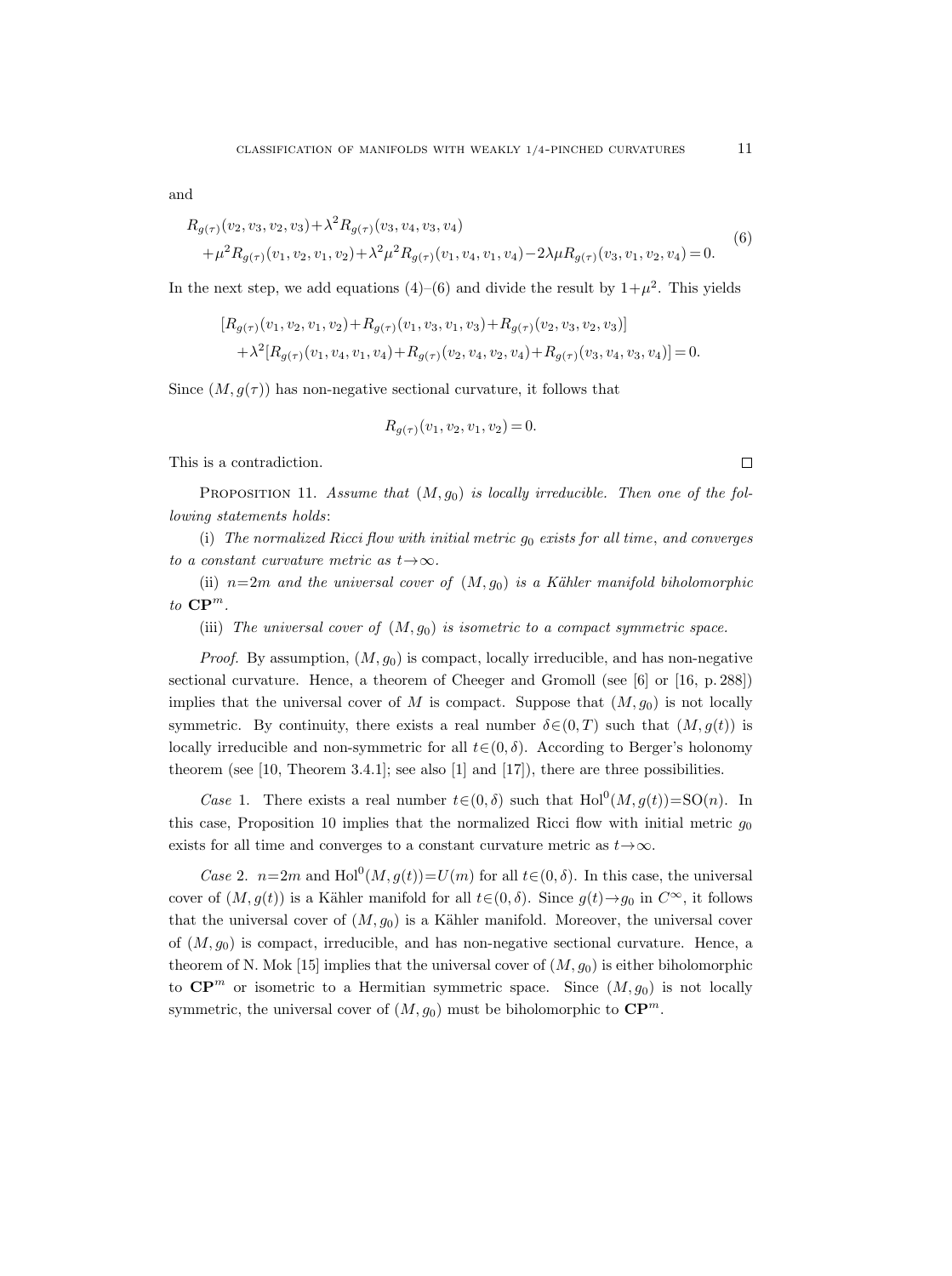and

$$
R_{g(\tau)}(v_2, v_3, v_2, v_3) + \lambda^2 R_{g(\tau)}(v_3, v_4, v_3, v_4)
$$
  
+  $\mu^2 R_{g(\tau)}(v_1, v_2, v_1, v_2) + \lambda^2 \mu^2 R_{g(\tau)}(v_1, v_4, v_1, v_4) - 2\lambda \mu R_{g(\tau)}(v_3, v_1, v_2, v_4) = 0.$  (6)

In the next step, we add equations  $(4)$ – $(6)$  and divide the result by  $1+\mu^2$ . This yields

$$
[R_{g(\tau)}(v_1, v_2, v_1, v_2) + R_{g(\tau)}(v_1, v_3, v_1, v_3) + R_{g(\tau)}(v_2, v_3, v_2, v_3)]
$$
  
+  $\lambda^2 [R_{g(\tau)}(v_1, v_4, v_1, v_4) + R_{g(\tau)}(v_2, v_4, v_2, v_4) + R_{g(\tau)}(v_3, v_4, v_3, v_4)] = 0.$ 

Since  $(M, g(\tau))$  has non-negative sectional curvature, it follows that

$$
R_{g(\tau)}(v_1, v_2, v_1, v_2) = 0.
$$

This is a contradiction.

PROPOSITION 11. Assume that  $(M, g_0)$  is locally irreducible. Then one of the following statements holds:

(i) The normalized Ricci flow with initial metric  $g_0$  exists for all time, and converges to a constant curvature metric as  $t \rightarrow \infty$ .

(ii)  $n=2m$  and the universal cover of  $(M, g_0)$  is a Kähler manifold biholomorphic to  $\mathbf{CP}^m$ .

(iii) The universal cover of  $(M, g_0)$  is isometric to a compact symmetric space.

*Proof.* By assumption,  $(M, g_0)$  is compact, locally irreducible, and has non-negative sectional curvature. Hence, a theorem of Cheeger and Gromoll (see [6] or [16, p. 288]) implies that the universal cover of M is compact. Suppose that  $(M, g_0)$  is not locally symmetric. By continuity, there exists a real number  $\delta \in (0, T)$  such that  $(M, g(t))$  is locally irreducible and non-symmetric for all  $t \in (0, \delta)$ . According to Berger's holonomy theorem (see [10, Theorem 3.4.1]; see also [1] and [17]), there are three possibilities.

Case 1. There exists a real number  $t \in (0, \delta)$  such that  $Hol^0(M, g(t)) = SO(n)$ . In this case, Proposition 10 implies that the normalized Ricci flow with initial metric  $g_0$ exists for all time and converges to a constant curvature metric as  $t \rightarrow \infty$ .

Case 2.  $n=2m$  and  $\text{Hol}^0(M, g(t))=U(m)$  for all  $t\in (0, \delta)$ . In this case, the universal cover of  $(M, g(t))$  is a Kähler manifold for all  $t \in (0, \delta)$ . Since  $g(t) \rightarrow g_0$  in  $C^{\infty}$ , it follows that the universal cover of  $(M, g_0)$  is a Kähler manifold. Moreover, the universal cover of  $(M, g_0)$  is compact, irreducible, and has non-negative sectional curvature. Hence, a theorem of N. Mok [15] implies that the universal cover of  $(M, g_0)$  is either biholomorphic to  $\mathbb{CP}^m$  or isometric to a Hermitian symmetric space. Since  $(M, g_0)$  is not locally symmetric, the universal cover of  $(M, g_0)$  must be biholomorphic to  $\mathbb{CP}^m$ .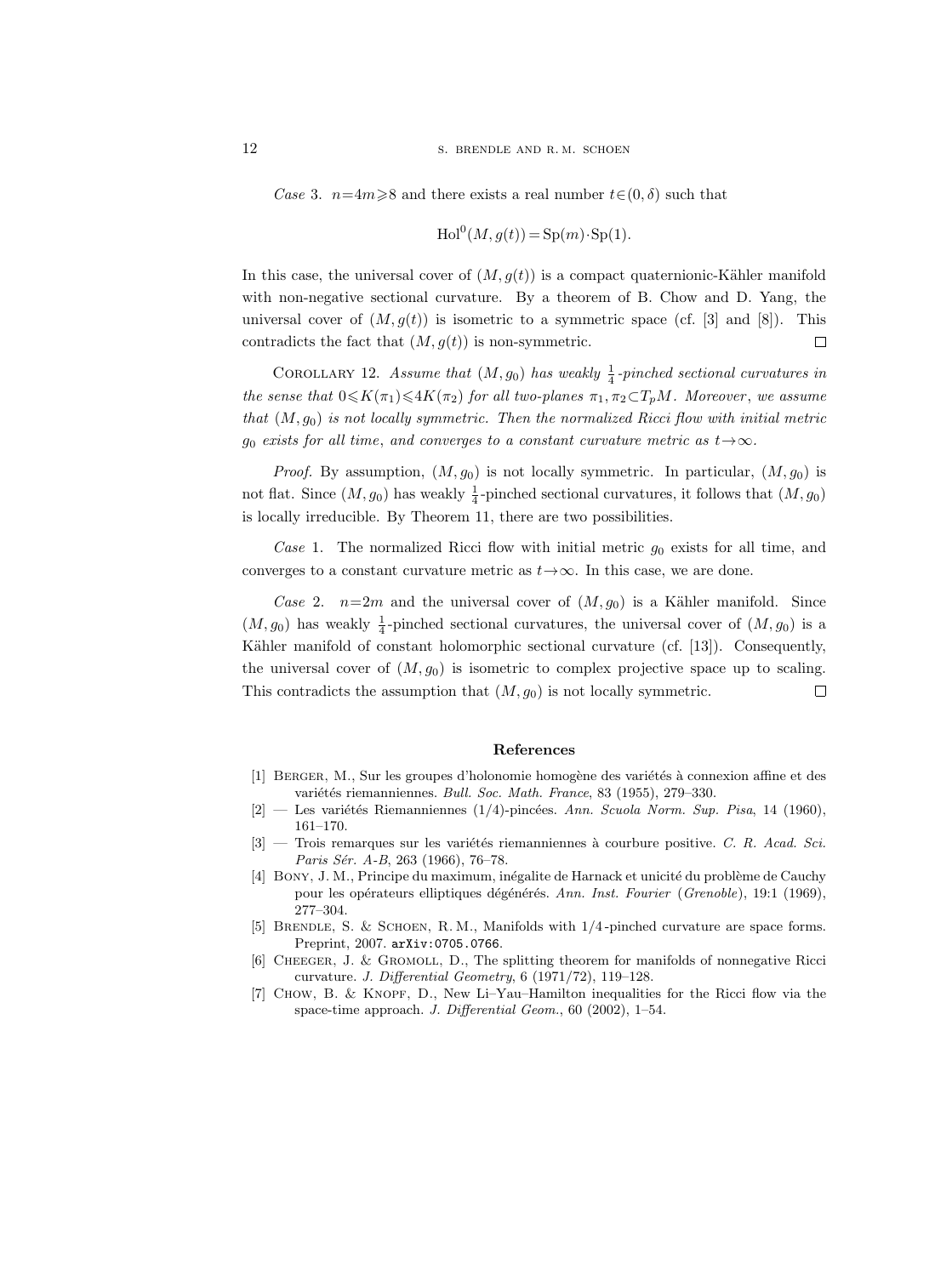Case 3.  $n=4m\geqslant 8$  and there exists a real number  $t\in(0,\delta)$  such that

$$
\operatorname{Hol}^0(M, g(t)) = \operatorname{Sp}(m) \cdot \operatorname{Sp}(1).
$$

In this case, the universal cover of  $(M, g(t))$  is a compact quaternionic-Kähler manifold with non-negative sectional curvature. By a theorem of B. Chow and D. Yang, the universal cover of  $(M, g(t))$  is isometric to a symmetric space (cf. [3] and [8]). This contradicts the fact that  $(M, g(t))$  is non-symmetric.  $\Box$ 

COROLLARY 12. Assume that  $(M, g_0)$  has weakly  $\frac{1}{4}$ -pinched sectional curvatures in the sense that  $0 \leq K(\pi_1) \leq 4K(\pi_2)$  for all two-planes  $\pi_1, \pi_2 \subset T_pM$ . Moreover, we assume that  $(M, g_0)$  is not locally symmetric. Then the normalized Ricci flow with initial metric go exists for all time, and converges to a constant curvature metric as  $t \rightarrow \infty$ .

*Proof.* By assumption,  $(M, g_0)$  is not locally symmetric. In particular,  $(M, g_0)$  is not flat. Since  $(M, g_0)$  has weakly  $\frac{1}{4}$ -pinched sectional curvatures, it follows that  $(M, g_0)$ is locally irreducible. By Theorem 11, there are two possibilities.

Case 1. The normalized Ricci flow with initial metric  $g_0$  exists for all time, and converges to a constant curvature metric as  $t \rightarrow \infty$ . In this case, we are done.

Case 2.  $n=2m$  and the universal cover of  $(M, g_0)$  is a Kähler manifold. Since  $(M, g_0)$  has weakly  $\frac{1}{4}$ -pinched sectional curvatures, the universal cover of  $(M, g_0)$  is a Kähler manifold of constant holomorphic sectional curvature (cf. [13]). Consequently, the universal cover of  $(M, g_0)$  is isometric to complex projective space up to scaling. This contradicts the assumption that  $(M, g_0)$  is not locally symmetric.  $\Box$ 

#### References

- [1] BERGER, M., Sur les groupes d'holonomie homogène des variétés à connexion affine et des variétés riemanniennes. Bull. Soc. Math. France, 83 (1955), 279–330.
- $[2]$  Les variétés Riemanniennes (1/4)-pincées. Ann. Scuola Norm. Sup. Pisa, 14 (1960), 161–170.
- $[3]$  Trois remarques sur les variétés riemanniennes à courbure positive. C. R. Acad. Sci. Paris Sér. A-B, 263 (1966), 76-78.
- [4] BONY, J. M., Principe du maximum, inégalite de Harnack et unicité du problème de Cauchy pour les opérateurs elliptiques dégénérés. Ann. Inst. Fourier (Grenoble), 19:1 (1969), 277–304.
- [5] Brendle, S. & Schoen, R. M., Manifolds with 1/4 -pinched curvature are space forms. Preprint, 2007. arXiv:0705.0766.
- [6] CHEEGER, J. & GROMOLL, D., The splitting theorem for manifolds of nonnegative Ricci curvature. J. Differential Geometry, 6 (1971/72), 119–128.
- [7] Chow, B. & Knopf, D., New Li–Yau–Hamilton inequalities for the Ricci flow via the space-time approach. J. Differential Geom., 60 (2002), 1-54.